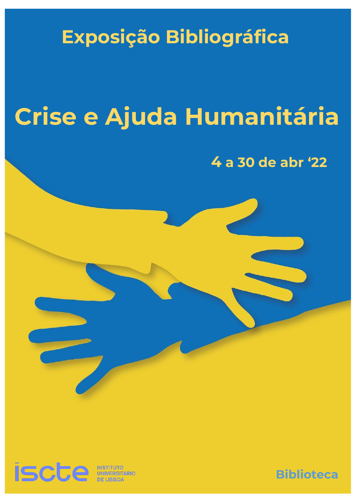# **Exposição Bibliográfica**

# **Crise e Ajuda Humanitária**

# **4 a 30 de abr '22**



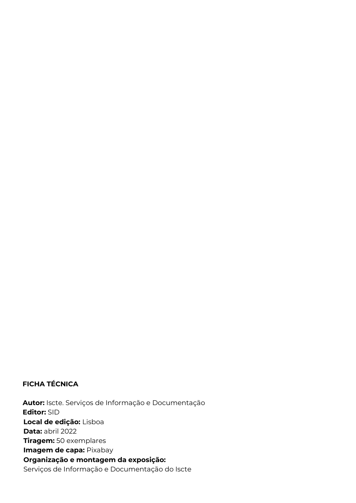#### **FICHA TÉCNICA**

 1 **Organização e montagem da exposição:** *Crise e Ajuda Humanitária* Serviços de Informação e Documentação do Iscte **Autor:** Iscte. Serviços de Informação e Documentação  **Editor:** SID **Local de edição:** Lisboa **Data:** abril 2022 **Tiragem:** 50 exemplares **Imagem de capa:** Pixabay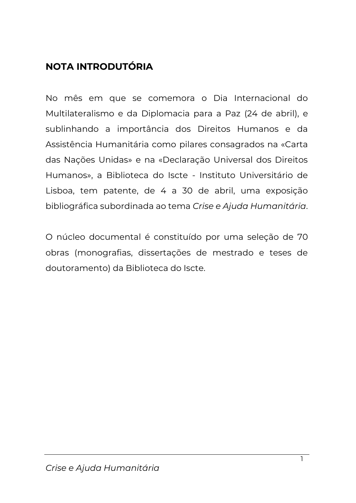### **NOTA INTRODUTÓRIA**

No mês em que se comemora o Dia Internacional do Multilateralismo e da Diplomacia para a Paz (24 de abril), e sublinhando a importância dos Direitos Humanos e da Assistência Humanitária como pilares consagrados na «Carta das Nações Unidas» e na «Declaração Universal dos Direitos Humanos», a Biblioteca do Iscte - Instituto Universitário de Lisboa, tem patente, de 4 a 30 de abril, uma exposição bibliográfica subordinada ao tema *Crise e Ajuda Humanitária*.

O núcleo documental é constituído por uma seleção de 70 obras (monografias, dissertações de mestrado e teses de doutoramento) da Biblioteca do Iscte.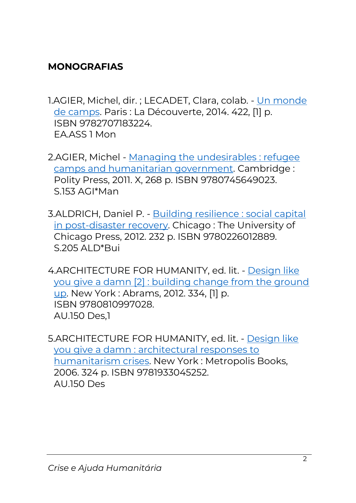### **MONOGRAFIAS**

- 1.AGIER, Michel, dir. ; LECADET, Clara, colab. [Un monde](https://catalogo.biblioteca.iscte-iul.pt/cgi-bin/koha/opac-detail.pl?biblionumber=91371)  [de camps.](https://catalogo.biblioteca.iscte-iul.pt/cgi-bin/koha/opac-detail.pl?biblionumber=91371) Paris : La Découverte, 2014. 422, [1] p. ISBN 9782707183224. EA.ASS 1 Mon
- 2.AGIER, Michel [Managing the undesirables : refugee](https://catalogo.biblioteca.iscte-iul.pt/cgi-bin/koha/opac-detail.pl?biblionumber=91313)  [camps and humanitarian government.](https://catalogo.biblioteca.iscte-iul.pt/cgi-bin/koha/opac-detail.pl?biblionumber=91313) Cambridge : Polity Press, 2011. X, 268 p. ISBN 9780745649023. S.153 AGI\*Man
- 3.ALDRICH, Daniel P. [Building resilience : social capital](https://catalogo.biblioteca.iscte-iul.pt/cgi-bin/koha/opac-detail.pl?biblionumber=88056)  [in post-disaster recovery.](https://catalogo.biblioteca.iscte-iul.pt/cgi-bin/koha/opac-detail.pl?biblionumber=88056) Chicago : The University of Chicago Press, 2012. 232 p. ISBN 9780226012889. S.205 ALD\*Bui
- 4.ARCHITECTURE FOR HUMANITY, ed. lit. [Design like](https://catalogo.biblioteca.iscte-iul.pt/cgi-bin/koha/opac-detail.pl?biblionumber=77306)  [you give a damn \[2\] : building change from the ground](https://catalogo.biblioteca.iscte-iul.pt/cgi-bin/koha/opac-detail.pl?biblionumber=77306)  [up.](https://catalogo.biblioteca.iscte-iul.pt/cgi-bin/koha/opac-detail.pl?biblionumber=77306) New York : Abrams, 2012. 334, [1] p. ISBN 9780810997028. AU.150 Des,1
- 5.ARCHITECTURE FOR HUMANITY, ed. lit. [Design like](https://catalogo.biblioteca.iscte-iul.pt/cgi-bin/koha/opac-detail.pl?biblionumber=74021)  [you give a damn : architectural responses to](https://catalogo.biblioteca.iscte-iul.pt/cgi-bin/koha/opac-detail.pl?biblionumber=74021)  [humanitarism crises.](https://catalogo.biblioteca.iscte-iul.pt/cgi-bin/koha/opac-detail.pl?biblionumber=74021) New York : Metropolis Books, 2006. 324 p. ISBN 9781933045252. AU.150 Des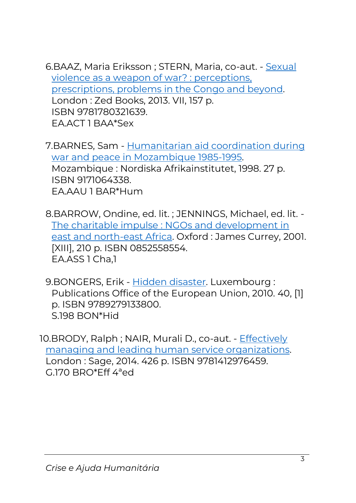6.BAAZ, Maria Eriksson ; STERN, Maria, co-aut. - [Sexual](https://catalogo.biblioteca.iscte-iul.pt/cgi-bin/koha/opac-detail.pl?biblionumber=83800)  [violence as a weapon of war? : perceptions,](https://catalogo.biblioteca.iscte-iul.pt/cgi-bin/koha/opac-detail.pl?biblionumber=83800)  [prescriptions, problems in the Congo and beyond.](https://catalogo.biblioteca.iscte-iul.pt/cgi-bin/koha/opac-detail.pl?biblionumber=83800) London : Zed Books, 2013. VII, 157 p. ISBN 9781780321639. EA.ACT 1 BAA\*Sex

7.BARNES, Sam - [Humanitarian aid coordination during](https://catalogo.biblioteca.iscte-iul.pt/cgi-bin/koha/opac-detail.pl?biblionumber=25549)  [war and peace in Mozambique 1985-1995.](https://catalogo.biblioteca.iscte-iul.pt/cgi-bin/koha/opac-detail.pl?biblionumber=25549) Mozambique : Nordiska Afrikainstitutet, 1998. 27 p. ISBN 9171064338. EA.AAU 1 BAR\*Hum

8.BARROW, Ondine, ed. lit. ; JENNINGS, Michael, ed. lit. - [The charitable impulse : NGOs and development in](https://catalogo.biblioteca.iscte-iul.pt/cgi-bin/koha/opac-detail.pl?biblionumber=41189)  [east and north-east Africa.](https://catalogo.biblioteca.iscte-iul.pt/cgi-bin/koha/opac-detail.pl?biblionumber=41189) Oxford : James Currey, 2001. [XIII], 210 p. ISBN 0852558554. EA.ASS 1 Cha,1

9.BONGERS, Erik - [Hidden disaster.](https://catalogo.biblioteca.iscte-iul.pt/cgi-bin/koha/opac-detail.pl?biblionumber=59291) Luxembourg : Publications Office of the European Union, 2010. 40, [1] p. ISBN 9789279133800. S.198 BON\*Hid

10.BRODY, Ralph; NAIR, Murali D., co-aut. - Effectively [managing and leading human service organizations.](https://catalogo.biblioteca.iscte-iul.pt/cgi-bin/koha/opac-detail.pl?biblionumber=98429)  London : Sage, 2014. 426 p. ISBN 9781412976459. G.170 BRO\*Eff 4ªed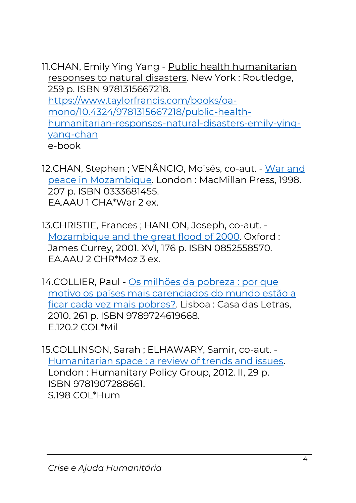- 11.CHAN, Emily Ying Yang [Public health humanitarian](https://catalogo.biblioteca.iscte-iul.pt/cgi-bin/koha/opac-detail.pl?biblionumber=112973)  [responses to natural disasters.](https://catalogo.biblioteca.iscte-iul.pt/cgi-bin/koha/opac-detail.pl?biblionumber=112973) New York : Routledge, 259 p. ISBN 9781315667218. [https://www.taylorfrancis.com/books/oa](https://www.taylorfrancis.com/books/oa-mono/10.4324/9781315667218/public-health-humanitarian-responses-natural-disasters-emily-ying-yang-chan)[mono/10.4324/9781315667218/public-health](https://www.taylorfrancis.com/books/oa-mono/10.4324/9781315667218/public-health-humanitarian-responses-natural-disasters-emily-ying-yang-chan)[humanitarian-responses-natural-disasters-emily-ying](https://www.taylorfrancis.com/books/oa-mono/10.4324/9781315667218/public-health-humanitarian-responses-natural-disasters-emily-ying-yang-chan)[yang-chan](https://www.taylorfrancis.com/books/oa-mono/10.4324/9781315667218/public-health-humanitarian-responses-natural-disasters-emily-ying-yang-chan) e-book
- 12.CHAN, Stephen ; VENÂNCIO, Moisés, co-aut. [War and](https://catalogo.biblioteca.iscte-iul.pt/cgi-bin/koha/opac-detail.pl?biblionumber=21241)  [peace in Mozambique.](https://catalogo.biblioteca.iscte-iul.pt/cgi-bin/koha/opac-detail.pl?biblionumber=21241) London : MacMillan Press, 1998. 207 p. ISBN 0333681455. EA.AAU 1 CHA\*War 2 ex.
- 13.CHRISTIE, Frances ; HANLON, Joseph, co-aut. [Mozambique and the great flood of 2000.](https://catalogo.biblioteca.iscte-iul.pt/cgi-bin/koha/opac-detail.pl?biblionumber=30808) Oxford : James Currey, 2001. XVI, 176 p. ISBN 0852558570. EA.AAU 2 CHR\*Moz 3 ex.
- 14.COLLIER, Paul [Os milhões da pobreza : por que](https://catalogo.biblioteca.iscte-iul.pt/cgi-bin/koha/opac-detail.pl?biblionumber=87055)  [motivo os países mais carenciados do mundo estão a](https://catalogo.biblioteca.iscte-iul.pt/cgi-bin/koha/opac-detail.pl?biblionumber=87055)  [ficar cada vez mais pobres?.](https://catalogo.biblioteca.iscte-iul.pt/cgi-bin/koha/opac-detail.pl?biblionumber=87055) Lisboa : Casa das Letras, 2010. 261 p. ISBN 9789724619668. E.120.2 COL\*Mil
- 15.COLLINSON, Sarah ; ELHAWARY, Samir, co-aut. [Humanitarian space : a review of trends and issues.](https://catalogo.biblioteca.iscte-iul.pt/cgi-bin/koha/opac-detail.pl?biblionumber=82831) London : Humanitary Policy Group, 2012. II, 29 p. ISBN 9781907288661. S.198 COL\*Hum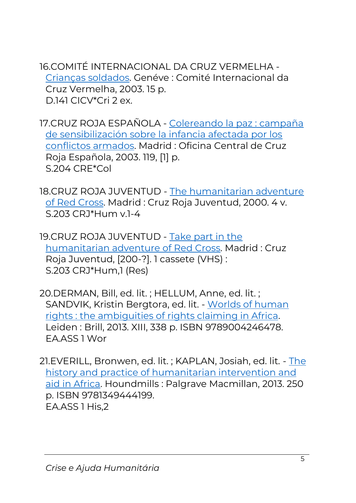16.COMITÉ INTERNACIONAL DA CRUZ VERMELHA - [Crianças soldados.](https://catalogo.biblioteca.iscte-iul.pt/cgi-bin/koha/opac-detail.pl?biblionumber=71451) Genéve : Comité Internacional da Cruz Vermelha, 2003. 15 p. D.141 CICV\*Cri 2 ex.

17.CRUZ ROJA ESPAÑOLA - [Colereando la paz : campaña](https://catalogo.biblioteca.iscte-iul.pt/cgi-bin/koha/opac-detail.pl?biblionumber=71439)  [de sensibilización sobre la infancia afectada por los](https://catalogo.biblioteca.iscte-iul.pt/cgi-bin/koha/opac-detail.pl?biblionumber=71439)  [conflictos armados.](https://catalogo.biblioteca.iscte-iul.pt/cgi-bin/koha/opac-detail.pl?biblionumber=71439) Madrid : Oficina Central de Cruz Roja Española, 2003. 119, [1] p. S.204 CRE\*Col

18.CRUZ ROJA JUVENTUD - [The humanitarian adventure](https://catalogo.biblioteca.iscte-iul.pt/cgi-bin/koha/opac-detail.pl?biblionumber=71431)  [of Red Cross.](https://catalogo.biblioteca.iscte-iul.pt/cgi-bin/koha/opac-detail.pl?biblionumber=71431) Madrid : Cruz Roja Juventud, 2000. 4 v. S.203 CRJ\*Hum v.1-4

19.CRUZ ROJA JUVENTUD - [Take part in the](https://catalogo.biblioteca.iscte-iul.pt/cgi-bin/koha/opac-detail.pl?biblionumber=71432)  [humanitarian adventure of Red Cross.](https://catalogo.biblioteca.iscte-iul.pt/cgi-bin/koha/opac-detail.pl?biblionumber=71432) Madrid : Cruz Roja Juventud, [200-?]. 1 cassete (VHS) : S.203 CRJ\*Hum,1 (Res)

20.DERMAN, Bill, ed. lit. ; HELLUM, Anne, ed. lit. ; SANDVIK, Kristin Bergtora, ed. lit. - [Worlds of human](https://catalogo.biblioteca.iscte-iul.pt/cgi-bin/koha/opac-detail.pl?biblionumber=83436)  [rights : the ambiguities of rights claiming in Africa.](https://catalogo.biblioteca.iscte-iul.pt/cgi-bin/koha/opac-detail.pl?biblionumber=83436) Leiden : Brill, 2013. XIII, 338 p. ISBN 9789004246478. EA.ASS 1 Wor

21.EVERILL, Bronwen, ed. lit. ; KAPLAN, Josiah, ed. lit. - [The](https://catalogo.biblioteca.iscte-iul.pt/cgi-bin/koha/opac-detail.pl?biblionumber=113550)  [history and practice of humanitarian intervention and](https://catalogo.biblioteca.iscte-iul.pt/cgi-bin/koha/opac-detail.pl?biblionumber=113550)  [aid in Africa.](https://catalogo.biblioteca.iscte-iul.pt/cgi-bin/koha/opac-detail.pl?biblionumber=113550) Houndmills : Palgrave Macmillan, 2013. 250 p. ISBN 9781349444199. EA.ASS 1 His,2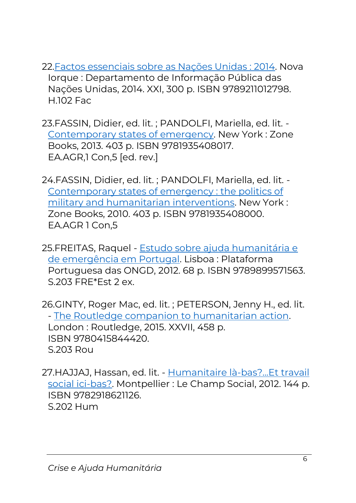- 2[2.Factos essenciais sobre as Nações Unidas : 2014.](https://catalogo.biblioteca.iscte-iul.pt/cgi-bin/koha/opac-detail.pl?biblionumber=92022) Nova Iorque : Departamento de Informação Pública das Nações Unidas, 2014. XXI, 300 p. ISBN 9789211012798. H.102 Fac
- 23.FASSIN, Didier, ed. lit. ; PANDOLFI, Mariella, ed. lit. [Contemporary states of emergency.](https://catalogo.biblioteca.iscte-iul.pt/cgi-bin/koha/opac-detail.pl?biblionumber=96009) New York : Zone Books, 2013. 403 p. ISBN 9781935408017. EA.AGR,1 Con,5 [ed. rev.]
- 24.FASSIN, Didier, ed. lit. ; PANDOLFI, Mariella, ed. lit. [Contemporary states of emergency : the politics of](https://catalogo.biblioteca.iscte-iul.pt/cgi-bin/koha/opac-detail.pl?biblionumber=73089)  [military and humanitarian interventions.](https://catalogo.biblioteca.iscte-iul.pt/cgi-bin/koha/opac-detail.pl?biblionumber=73089) New York : Zone Books, 2010. 403 p. ISBN 9781935408000. EA.AGR 1 Con,5
- 25.FREITAS, Raquel [Estudo sobre ajuda humanitária e](https://catalogo.biblioteca.iscte-iul.pt/cgi-bin/koha/opac-detail.pl?biblionumber=86859)  [de emergência em Portugal.](https://catalogo.biblioteca.iscte-iul.pt/cgi-bin/koha/opac-detail.pl?biblionumber=86859) Lisboa : Plataforma Portuguesa das ONGD, 2012. 68 p. ISBN 9789899571563. S.203 FRE\*Est 2 ex.
- 26.GINTY, Roger Mac, ed. lit. ; PETERSON, Jenny H., ed. lit. - [The Routledge companion to humanitarian action.](https://catalogo.biblioteca.iscte-iul.pt/cgi-bin/koha/opac-detail.pl?biblionumber=108507) London : Routledge, 2015. XXVII, 458 p. ISBN 9780415844420. S.203 Rou
- 27.HAJJAJ, Hassan, ed. lit. [Humanitaire là-bas?...Et travail](https://catalogo.biblioteca.iscte-iul.pt/cgi-bin/koha/opac-detail.pl?biblionumber=85070)  [social ici-bas?.](https://catalogo.biblioteca.iscte-iul.pt/cgi-bin/koha/opac-detail.pl?biblionumber=85070) Montpellier : Le Champ Social, 2012. 144 p. ISBN 9782918621126. S.202 Hum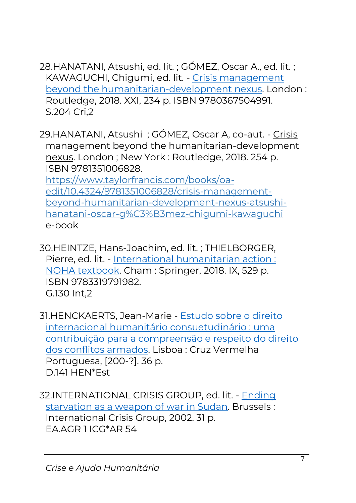- 28.HANATANI, Atsushi, ed. lit. ; GÓMEZ, Oscar A., ed. lit. ; KAWAGUCHI, Chigumi, ed. lit. - [Crisis management](https://catalogo.biblioteca.iscte-iul.pt/cgi-bin/koha/opac-detail.pl?biblionumber=108119)  [beyond the humanitarian-development nexus.](https://catalogo.biblioteca.iscte-iul.pt/cgi-bin/koha/opac-detail.pl?biblionumber=108119) London : Routledge, 2018. XXI, 234 p. ISBN 9780367504991. S.204 Cri,2
- 29.HANATANI, Atsushi ; GÓMEZ, Oscar A, co-aut. Crisis management beyond the humanitarian-development nexus. London ; New York : Routledge, 2018. 254 p. ISBN 9781351006828. [https://www.taylorfrancis.com/books/oa](https://www.taylorfrancis.com/books/oa-edit/10.4324/9781351006828/crisis-management-beyond-humanitarian-development-nexus-atsushi-hanatani-oscar-g%C3%B3mez-chigumi-kawaguchi)[edit/10.4324/9781351006828/crisis-management](https://www.taylorfrancis.com/books/oa-edit/10.4324/9781351006828/crisis-management-beyond-humanitarian-development-nexus-atsushi-hanatani-oscar-g%C3%B3mez-chigumi-kawaguchi)[beyond-humanitarian-development-nexus-atsushi](https://www.taylorfrancis.com/books/oa-edit/10.4324/9781351006828/crisis-management-beyond-humanitarian-development-nexus-atsushi-hanatani-oscar-g%C3%B3mez-chigumi-kawaguchi)[hanatani-oscar-g%C3%B3mez-chigumi-kawaguchi](https://www.taylorfrancis.com/books/oa-edit/10.4324/9781351006828/crisis-management-beyond-humanitarian-development-nexus-atsushi-hanatani-oscar-g%C3%B3mez-chigumi-kawaguchi) e-book
- 30.HEINTZE, Hans-Joachim, ed. lit. ; THIELBORGER, Pierre, ed. lit. - [International humanitarian action :](https://catalogo.biblioteca.iscte-iul.pt/cgi-bin/koha/opac-detail.pl?biblionumber=103701)  [NOHA textbook.](https://catalogo.biblioteca.iscte-iul.pt/cgi-bin/koha/opac-detail.pl?biblionumber=103701) Cham : Springer, 2018. IX, 529 p. ISBN 9783319791982. G.130 Int,2
- 31.HENCKAERTS, Jean-Marie [Estudo sobre o direito](https://catalogo.biblioteca.iscte-iul.pt/cgi-bin/koha/opac-detail.pl?biblionumber=71436)  [internacional humanitário consuetudinário : uma](https://catalogo.biblioteca.iscte-iul.pt/cgi-bin/koha/opac-detail.pl?biblionumber=71436)  [contribuição para a compreensão e respeito do direito](https://catalogo.biblioteca.iscte-iul.pt/cgi-bin/koha/opac-detail.pl?biblionumber=71436)  [dos conflitos armados.](https://catalogo.biblioteca.iscte-iul.pt/cgi-bin/koha/opac-detail.pl?biblionumber=71436) Lisboa : Cruz Vermelha Portuguesa, [200-?]. 36 p. D.141 HEN\*Est
- 32.INTERNATIONAL CRISIS GROUP, ed. lit. [Ending](https://catalogo.biblioteca.iscte-iul.pt/cgi-bin/koha/opac-detail.pl?biblionumber=51707)  [starvation as a weapon of war in Sudan.](https://catalogo.biblioteca.iscte-iul.pt/cgi-bin/koha/opac-detail.pl?biblionumber=51707) Brussels : International Crisis Group, 2002. 31 p. EA.AGR 1 ICG\*AR 54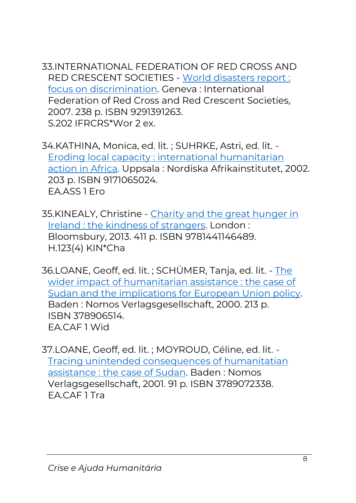33.INTERNATIONAL FEDERATION OF RED CROSS AND RED CRESCENT SOCIETIES - [World disasters report :](https://catalogo.biblioteca.iscte-iul.pt/cgi-bin/koha/opac-detail.pl?biblionumber=64971)  [focus on discrimination.](https://catalogo.biblioteca.iscte-iul.pt/cgi-bin/koha/opac-detail.pl?biblionumber=64971) Geneva : International Federation of Red Cross and Red Crescent Societies, 2007. 238 p. ISBN 9291391263. S.202 IFRCRS\*Wor 2 ex.

34.KATHINA, Monica, ed. lit. ; SUHRKE, Astri, ed. lit. - [Eroding local capacity : international humanitarian](https://catalogo.biblioteca.iscte-iul.pt/cgi-bin/koha/opac-detail.pl?biblionumber=40247)  [action in Africa.](https://catalogo.biblioteca.iscte-iul.pt/cgi-bin/koha/opac-detail.pl?biblionumber=40247) Uppsala : Nordiska Afrikainstitutet, 2002. 203 p. ISBN 9171065024. EA.ASS 1 Ero

35.KINEALY, Christine - [Charity and the great hunger in](https://catalogo.biblioteca.iscte-iul.pt/cgi-bin/koha/opac-detail.pl?biblionumber=88124)  [Ireland : the kindness of strangers.](https://catalogo.biblioteca.iscte-iul.pt/cgi-bin/koha/opac-detail.pl?biblionumber=88124) London : Bloomsbury, 2013. 411 p. ISBN 9781441146489. H.123(4) KIN\*Cha

36.LOANE, Geoff, ed. lit. ; SCHÜMER, Tanja, ed. lit. - [The](https://catalogo.biblioteca.iscte-iul.pt/cgi-bin/koha/opac-detail.pl?biblionumber=51822)  [wider impact of humanitarian assistance : the case of](https://catalogo.biblioteca.iscte-iul.pt/cgi-bin/koha/opac-detail.pl?biblionumber=51822)  [Sudan and the implications for European Union policy.](https://catalogo.biblioteca.iscte-iul.pt/cgi-bin/koha/opac-detail.pl?biblionumber=51822)  Baden : Nomos Verlagsgesellschaft, 2000. 213 p. ISBN 378906514. EA.CAF 1 Wid

37.LOANE, Geoff, ed. lit. ; MOYROUD, Céline, ed. lit. - [Tracing unintended consequences of humanitatian](https://catalogo.biblioteca.iscte-iul.pt/cgi-bin/koha/opac-detail.pl?biblionumber=48834)  [assistance : the case of Sudan.](https://catalogo.biblioteca.iscte-iul.pt/cgi-bin/koha/opac-detail.pl?biblionumber=48834) Baden : Nomos Verlagsgesellschaft, 2001. 91 p. ISBN 3789072338. EA.CAF 1 Tra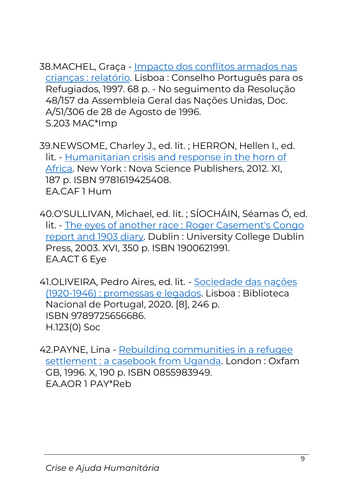38.MACHEL, Graça - [Impacto dos conflitos armados nas](https://catalogo.biblioteca.iscte-iul.pt/cgi-bin/koha/opac-detail.pl?biblionumber=16550)  [crianças : relatório.](https://catalogo.biblioteca.iscte-iul.pt/cgi-bin/koha/opac-detail.pl?biblionumber=16550) Lisboa : Conselho Português para os Refugiados, 1997. 68 p. - No seguimento da Resolução 48/157 da Assembleia Geral das Nações Unidas, Doc. A/51/306 de 28 de Agosto de 1996. S.203 MAC\*Imp

39.NEWSOME, Charley J., ed. lit. ; HERRON, Hellen I., ed. lit. - [Humanitarian crisis and response in the horn of](https://catalogo.biblioteca.iscte-iul.pt/cgi-bin/koha/opac-detail.pl?biblionumber=83585)  [Africa.](https://catalogo.biblioteca.iscte-iul.pt/cgi-bin/koha/opac-detail.pl?biblionumber=83585) New York : Nova Science Publishers, 2012. XI, 187 p. ISBN 9781619425408. EA.CAF 1 Hum

40.O'SULLIVAN, Michael, ed. lit. ; SÍOCHÁIN, Séamas Ó, ed. lit. - [The eyes of another race : Roger Casement's Congo](https://catalogo.biblioteca.iscte-iul.pt/cgi-bin/koha/opac-detail.pl?biblionumber=52141)  [report and 1903 diary.](https://catalogo.biblioteca.iscte-iul.pt/cgi-bin/koha/opac-detail.pl?biblionumber=52141) Dublin : University College Dublin Press, 2003. XVI, 350 p. ISBN 1900621991. EA.ACT 6 Eye

41.OLIVEIRA, Pedro Aires, ed. lit. - [Sociedade das nações](https://catalogo.biblioteca.iscte-iul.pt/cgi-bin/koha/opac-detail.pl?biblionumber=107253)  [\(1920-1946\) : promessas e legados.](https://catalogo.biblioteca.iscte-iul.pt/cgi-bin/koha/opac-detail.pl?biblionumber=107253) Lisboa : Biblioteca Nacional de Portugal, 2020. [8], 246 p. ISBN 9789725656686. H.123(0) Soc

42.PAYNE, Lina - [Rebuilding communities in a refugee](https://catalogo.biblioteca.iscte-iul.pt/cgi-bin/koha/opac-detail.pl?biblionumber=27354)  [settlement : a casebook from Uganda.](https://catalogo.biblioteca.iscte-iul.pt/cgi-bin/koha/opac-detail.pl?biblionumber=27354) London : Oxfam GB, 1996. X, 190 p. ISBN 0855983949. EA.AOR 1 PAY\*Reb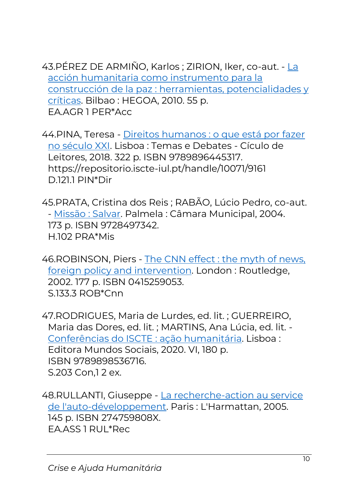43.PÉREZ DE ARMIÑO, Karlos ; ZIRION, Iker, co-aut. - [La](https://catalogo.biblioteca.iscte-iul.pt/cgi-bin/koha/opac-detail.pl?biblionumber=71233)  [acción humanitaria como instrumento para la](https://catalogo.biblioteca.iscte-iul.pt/cgi-bin/koha/opac-detail.pl?biblionumber=71233)  [construcción de la paz : herramientas, potencialidades y](https://catalogo.biblioteca.iscte-iul.pt/cgi-bin/koha/opac-detail.pl?biblionumber=71233)  [críticas.](https://catalogo.biblioteca.iscte-iul.pt/cgi-bin/koha/opac-detail.pl?biblionumber=71233) Bilbao : HEGOA, 2010. 55 p. EA.AGR 1 PER\*Acc

44.PINA, Teresa - [Direitos humanos : o que está por fazer](https://catalogo.biblioteca.iscte-iul.pt/cgi-bin/koha/opac-detail.pl?biblionumber=103586)  [no século XXI.](https://catalogo.biblioteca.iscte-iul.pt/cgi-bin/koha/opac-detail.pl?biblionumber=103586) Lisboa : Temas e Debates - Cículo de Leitores, 2018. 322 p. ISBN 9789896445317. https://repositorio.iscte-iul.pt/handle/10071/9161 D.121.1 PIN\*Dir

45.PRATA, Cristina dos Reis ; RABÃO, Lúcio Pedro, co-aut. - [Missão : Salvar.](https://catalogo.biblioteca.iscte-iul.pt/cgi-bin/koha/opac-detail.pl?biblionumber=37008) Palmela : Câmara Municipal, 2004. 173 p. ISBN 9728497342. H.102 PRA\*Mis

46.ROBINSON, Piers - [The CNN effect : the myth of news,](https://catalogo.biblioteca.iscte-iul.pt/cgi-bin/koha/opac-detail.pl?biblionumber=37510)  [foreign policy and](https://catalogo.biblioteca.iscte-iul.pt/cgi-bin/koha/opac-detail.pl?biblionumber=37510) intervention. London : Routledge, 2002. 177 p. ISBN 0415259053. S.133.3 ROB\*Cnn

47.RODRIGUES, Maria de Lurdes, ed. lit. ; GUERREIRO, Maria das Dores, ed. lit. ; MARTINS, Ana Lúcia, ed. lit. - [Conferências do ISCTE : ação humanitária.](https://catalogo.biblioteca.iscte-iul.pt/cgi-bin/koha/opac-detail.pl?biblionumber=105786) Lisboa : Editora Mundos Sociais, 2020. VI, 180 p. ISBN 9789898536716. S.203 Con,1 2 ex.

48.RULLANTI, Giuseppe - [La recherche-action au service](https://catalogo.biblioteca.iscte-iul.pt/cgi-bin/koha/opac-detail.pl?biblionumber=48367)  [de l'auto-développement.](https://catalogo.biblioteca.iscte-iul.pt/cgi-bin/koha/opac-detail.pl?biblionumber=48367) Paris : L'Harmattan, 2005. 145 p. ISBN 274759808X. EA.ASS 1 RUL\*Rec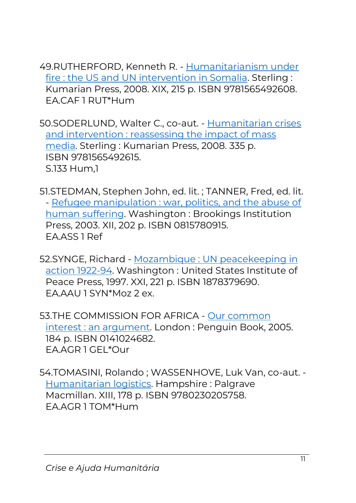49.RUTHERFORD, Kenneth R. - [Humanitarianism under](https://catalogo.biblioteca.iscte-iul.pt/cgi-bin/koha/opac-detail.pl?biblionumber=53825)  [fire : the US and UN intervention in Somalia.](https://catalogo.biblioteca.iscte-iul.pt/cgi-bin/koha/opac-detail.pl?biblionumber=53825) Sterling : Kumarian Press, 2008. XIX, 215 p. ISBN 9781565492608. EA.CAF 1 RUT\*Hum

50.SODERLUND, Walter C., co-aut. - [Humanitarian crises](https://catalogo.biblioteca.iscte-iul.pt/cgi-bin/koha/opac-detail.pl?biblionumber=52990)  [and intervention : reassessing the impact of mass](https://catalogo.biblioteca.iscte-iul.pt/cgi-bin/koha/opac-detail.pl?biblionumber=52990)  [media.](https://catalogo.biblioteca.iscte-iul.pt/cgi-bin/koha/opac-detail.pl?biblionumber=52990) Sterling : Kumarian Press, 2008. 335 p. ISBN 9781565492615. S.133 Hum,1

51.STEDMAN, Stephen John, ed. lit. ; TANNER, Fred, ed. lit. - [Refugee manipulation : war, politics, and the abuse of](https://catalogo.biblioteca.iscte-iul.pt/cgi-bin/koha/opac-detail.pl?biblionumber=52305)  [human suffering.](https://catalogo.biblioteca.iscte-iul.pt/cgi-bin/koha/opac-detail.pl?biblionumber=52305) Washington : Brookings Institution Press, 2003. XII, 202 p. ISBN 0815780915. EA.ASS 1 Ref

52.SYNGE, Richard - [Mozambique : UN](https://catalogo.biblioteca.iscte-iul.pt/cgi-bin/koha/opac-detail.pl?biblionumber=16551) peacekeeping in [action 1922-94.](https://catalogo.biblioteca.iscte-iul.pt/cgi-bin/koha/opac-detail.pl?biblionumber=16551) Washington : United States Institute of Peace Press, 1997. XXI, 221 p. ISBN 1878379690. EA.AAU 1 SYN\*Moz 2 ex.

53.THE COMMISSION FOR AFRICA - Our [common](https://catalogo.biblioteca.iscte-iul.pt/cgi-bin/koha/opac-detail.pl?biblionumber=44556)  [interest : an argument.](https://catalogo.biblioteca.iscte-iul.pt/cgi-bin/koha/opac-detail.pl?biblionumber=44556) London : Penguin Book, 2005. 184 p. ISBN 0141024682. EA.AGR 1 GEL\*Our

54.TOMASINI, Rolando ; WASSENHOVE, Luk Van, co-aut. - [Humanitarian logistics.](https://catalogo.biblioteca.iscte-iul.pt/cgi-bin/koha/opac-detail.pl?biblionumber=72993) Hampshire : Palgrave Macmillan. XIII, 178 p. ISBN 9780230205758. EA.AGR 1 TOM\*Hum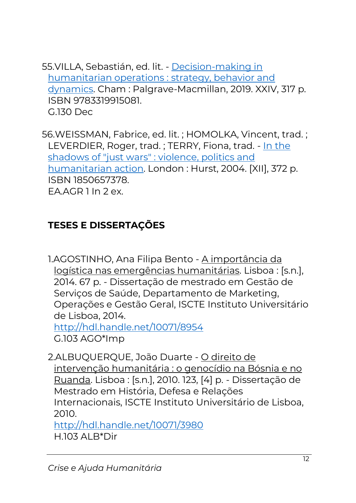55.VILLA, Sebastián, ed. lit. - [Decision-making in](https://catalogo.biblioteca.iscte-iul.pt/cgi-bin/koha/opac-detail.pl?biblionumber=103700)  [humanitarian operations : strategy, behavior and](https://catalogo.biblioteca.iscte-iul.pt/cgi-bin/koha/opac-detail.pl?biblionumber=103700)  [dynamics.](https://catalogo.biblioteca.iscte-iul.pt/cgi-bin/koha/opac-detail.pl?biblionumber=103700) Cham : Palgrave-Macmillan, 2019. XXIV, 317 p. ISBN 9783319915081. G.130 Dec

56.WEISSMAN, Fabrice, ed. lit. ; HOMOLKA, Vincent, trad. ; LEVERDIER, Roger, trad. ; TERRY, Fiona, trad. - [In the](https://catalogo.biblioteca.iscte-iul.pt/cgi-bin/koha/opac-detail.pl?biblionumber=41854)  [shadows of "just wars" : violence, politics and](https://catalogo.biblioteca.iscte-iul.pt/cgi-bin/koha/opac-detail.pl?biblionumber=41854)  [humanitarian action.](https://catalogo.biblioteca.iscte-iul.pt/cgi-bin/koha/opac-detail.pl?biblionumber=41854) London : Hurst, 2004. [XII], 372 p. ISBN 1850657378. EA.AGR 1 In 2 ex.

## **TESES E DISSERTAÇÕES**

1.AGOSTINHO, Ana Filipa Bento - A importância da logística nas emergências humanitárias. Lisboa : [s.n.], 2014. 67 p. - Dissertação de mestrado em Gestão de Serviços de Saúde, Departamento de Marketing, Operações e Gestão Geral, ISCTE Instituto Universitário de Lisboa, 2014.

<http://hdl.handle.net/10071/8954> G.103 AGO\*Imp

2.ALBUQUERQUE, João Duarte - O direito de intervenção humanitária : o genocídio na Bósnia e no Ruanda. Lisboa : [s.n.], 2010. 123, [4] p. - Dissertação de Mestrado em História, Defesa e Relações Internacionais, ISCTE Instituto Universitário de Lisboa, 2010.

<http://hdl.handle.net/10071/3980> H.103 ALB\*Dir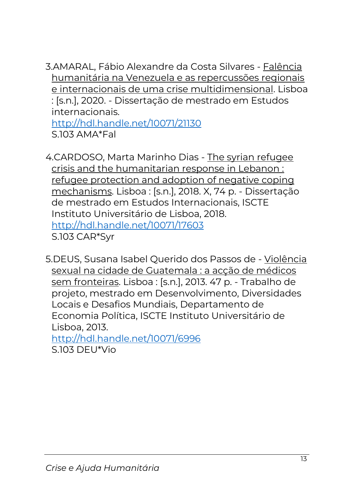3.AMARAL, Fábio Alexandre da Costa Silvares - Falência humanitária na Venezuela e as repercussões regionais e internacionais de uma crise multidimensional. Lisboa : [s.n.], 2020. - Dissertação de mestrado em Estudos internacionais. <http://hdl.handle.net/10071/21130>

S.103 AMA\*Fal

4.CARDOSO, Marta Marinho Dias - The syrian refugee crisis and the humanitarian response in Lebanon : refugee protection and adoption of negative coping mechanisms. Lisboa : [s.n.], 2018. X, 74 p. - Dissertação de mestrado em Estudos Internacionais, ISCTE Instituto Universitário de Lisboa, 2018. <http://hdl.handle.net/10071/17603> S.103 CAR\*Syr

5.DEUS, Susana Isabel Querido dos Passos de - Violência sexual na cidade de Guatemala : a acção de médicos sem fronteiras. Lisboa : [s.n.], 2013. 47 p. - Trabalho de projeto, mestrado em Desenvolvimento, Diversidades Locais e Desafios Mundiais, Departamento de Economia Política, ISCTE Instituto Universitário de Lisboa, 2013.

<http://hdl.handle.net/10071/6996> S.103 DEU\*Vio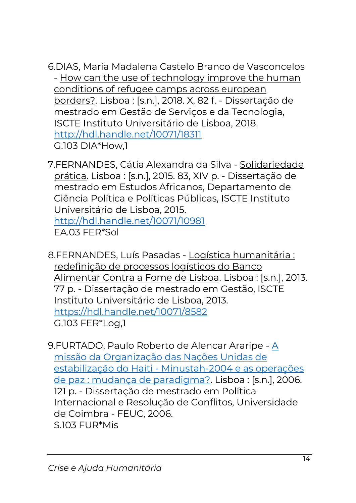6.DIAS, Maria Madalena Castelo Branco de Vasconcelos - How can the use of technology improve the human conditions of refugee camps across european borders?. Lisboa : [s.n.], 2018. X, 82 f. - Dissertação de mestrado em Gestão de Serviços e da Tecnologia, ISCTE Instituto Universitário de Lisboa, 2018. <http://hdl.handle.net/10071/18311> G.103 DIA\*How,1

7.FERNANDES, Cátia Alexandra da Silva - Solidariedade prática. Lisboa : [s.n.], 2015. 83, XIV p. - Dissertação de mestrado em Estudos Africanos, Departamento de Ciência Política e Políticas Públicas, ISCTE Instituto Universitário de Lisboa, 2015. <http://hdl.handle.net/10071/10981> EA.03 FER\*Sol

8.FERNANDES, Luís Pasadas - Logística humanitária : redefinição de processos logísticos do Banco Alimentar Contra a Fome de Lisboa. Lisboa : [s.n.], 2013. 77 p. - Dissertação de mestrado em Gestão, ISCTE Instituto Universitário de Lisboa, 2013. <https://hdl.handle.net/10071/8582> G.103 FER\*Log,1

9.FURTADO, Paulo Roberto de Alencar Araripe - [A](https://catalogo.biblioteca.iscte-iul.pt/cgi-bin/koha/opac-detail.pl?biblionumber=39303)  [missão da Organização das Nações Unidas de](https://catalogo.biblioteca.iscte-iul.pt/cgi-bin/koha/opac-detail.pl?biblionumber=39303)  estabilização do Haiti - [Minustah-2004 e as operações](https://catalogo.biblioteca.iscte-iul.pt/cgi-bin/koha/opac-detail.pl?biblionumber=39303)  [de paz : mudança de paradigma?.](https://catalogo.biblioteca.iscte-iul.pt/cgi-bin/koha/opac-detail.pl?biblionumber=39303) Lisboa : [s.n.], 2006. 121 p. - Dissertação de mestrado em Política Internacional e Resolução de Conflitos, Universidade de Coimbra - FEUC, 2006. S.103 FUR\*Mis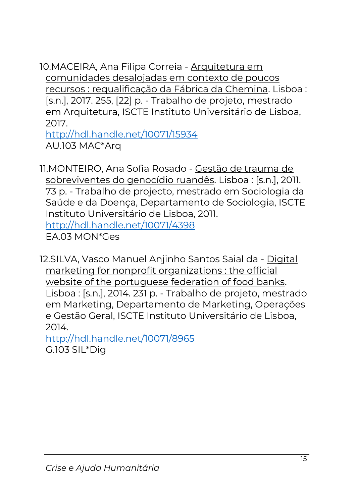10.MACEIRA, Ana Filipa Correia - Arquitetura em comunidades desalojadas em contexto de poucos recursos : requalificação da Fábrica da Chemina. Lisboa : [s.n.], 2017. 255, [22] p. - Trabalho de projeto, mestrado em Arquitetura, ISCTE Instituto Universitário de Lisboa, 2017.

<http://hdl.handle.net/10071/15934> AU.103 MAC\*Arq

11.MONTEIRO, Ana Sofia Rosado - Gestão de trauma de sobreviventes do genocídio ruandês. Lisboa : [s.n.], 2011. 73 p. - Trabalho de projecto, mestrado em Sociologia da Saúde e da Doença, Departamento de Sociologia, ISCTE Instituto Universitário de Lisboa, 2011. <http://hdl.handle.net/10071/4398> EA.03 MON\*Ges

12.SILVA, Vasco Manuel Anjinho Santos Saial da - Digital marketing for nonprofit organizations : the official website of the portuguese federation of food banks. Lisboa : [s.n.], 2014. 231 p. - Trabalho de projeto, mestrado em Marketing, Departamento de Marketing, Operações e Gestão Geral, ISCTE Instituto Universitário de Lisboa, 2014.

<http://hdl.handle.net/10071/8965> G.103 SIL\*Dig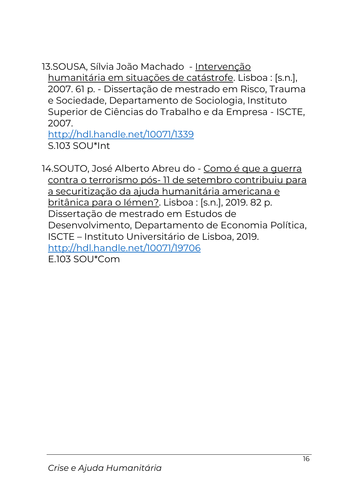13.SOUSA, Sílvia João Machado - Intervenção humanitária em situações de catástrofe. Lisboa : [s.n.], 2007. 61 p. - Dissertação de mestrado em Risco, Trauma e Sociedade, Departamento de Sociologia, Instituto Superior de Ciências do Trabalho e da Empresa - ISCTE, 2007.

<http://hdl.handle.net/10071/1339> S.103 SOU\*Int

14.SOUTO, José Alberto Abreu do - Como é que a guerra contra o terrorismo pós- 11 de setembro contribuiu para a securitização da ajuda humanitária americana e britânica para o Iémen?. Lisboa : [s.n.], 2019. 82 p. Dissertação de mestrado em Estudos de Desenvolvimento, Departamento de Economia Política, ISCTE – Instituto Universitário de Lisboa, 2019. <http://hdl.handle.net/10071/19706> E.103 SOU\*Com